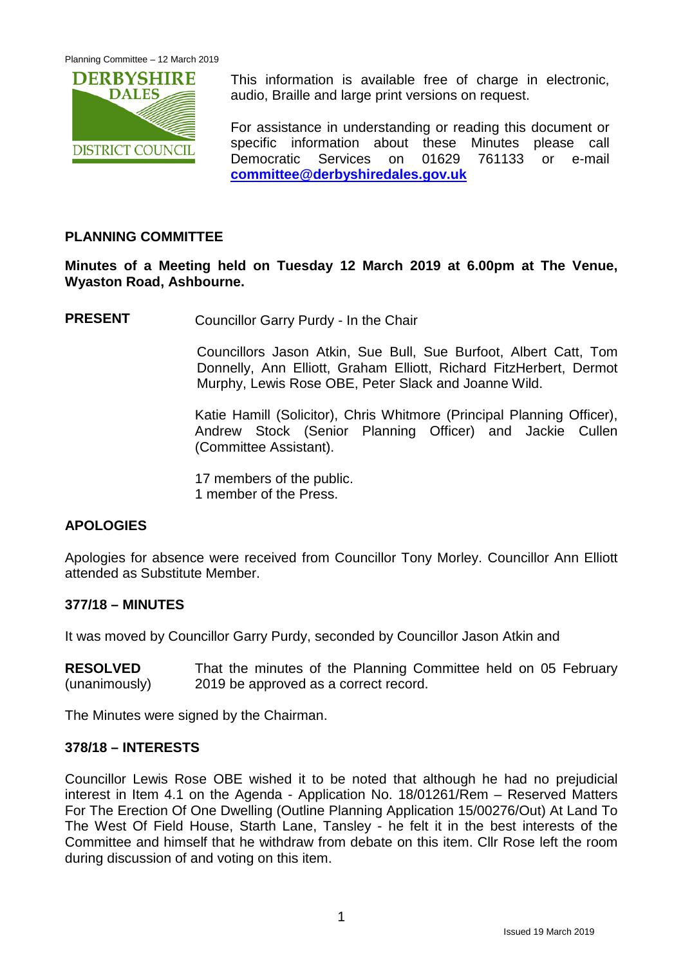

This information is available free of charge in electronic, audio, Braille and large print versions on request.

For assistance in understanding or reading this document or specific information about these Minutes please call Democratic Services on 01629 761133 or e-mail **[committee@derbyshiredales.gov.uk](mailto:committee@derbyshiredales.gov.uk)**

# **PLANNING COMMITTEE**

**Minutes of a Meeting held on Tuesday 12 March 2019 at 6.00pm at The Venue, Wyaston Road, Ashbourne.**

**PRESENT** Councillor Garry Purdy - In the Chair

Councillors Jason Atkin, Sue Bull, Sue Burfoot, Albert Catt, Tom Donnelly, Ann Elliott, Graham Elliott, Richard FitzHerbert, Dermot Murphy, Lewis Rose OBE, Peter Slack and Joanne Wild.

Katie Hamill (Solicitor), Chris Whitmore (Principal Planning Officer), Andrew Stock (Senior Planning Officer) and Jackie Cullen (Committee Assistant).

17 members of the public. 1 member of the Press.

# **APOLOGIES**

Apologies for absence were received from Councillor Tony Morley. Councillor Ann Elliott attended as Substitute Member.

### **377/18 – MINUTES**

It was moved by Councillor Garry Purdy, seconded by Councillor Jason Atkin and

**RESOLVED** (unanimously) That the minutes of the Planning Committee held on 05 February 2019 be approved as a correct record.

The Minutes were signed by the Chairman.

### **378/18 – INTERESTS**

Councillor Lewis Rose OBE wished it to be noted that although he had no prejudicial interest in Item 4.1 on the Agenda - Application No. 18/01261/Rem – Reserved Matters For The Erection Of One Dwelling (Outline Planning Application 15/00276/Out) At Land To The West Of Field House, Starth Lane, Tansley - he felt it in the best interests of the Committee and himself that he withdraw from debate on this item. Cllr Rose left the room during discussion of and voting on this item.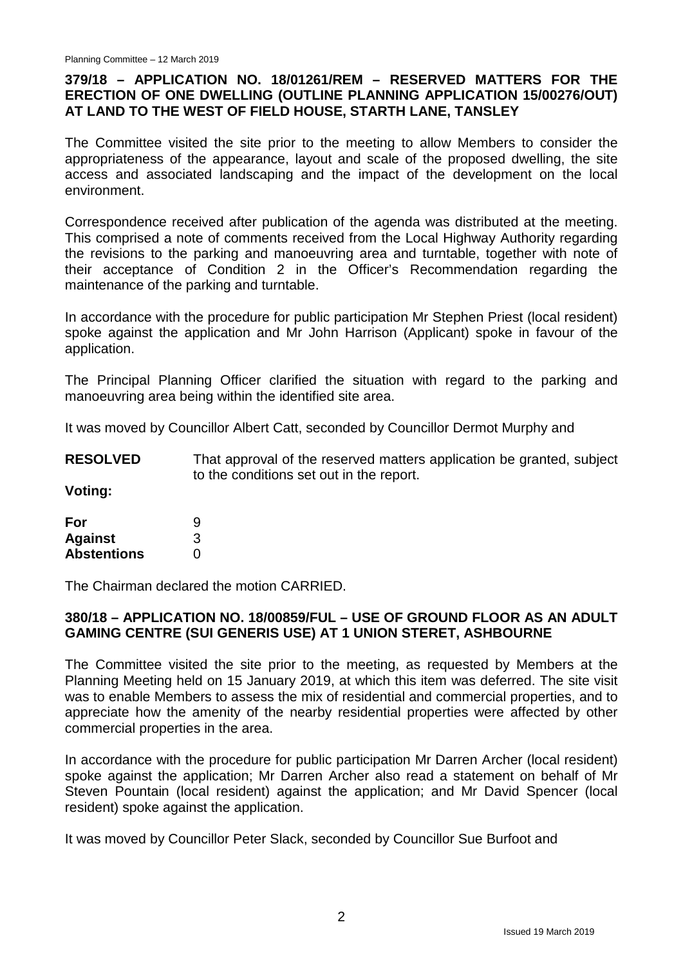# **379/18 – APPLICATION NO. 18/01261/REM – RESERVED MATTERS FOR THE ERECTION OF ONE DWELLING (OUTLINE PLANNING APPLICATION 15/00276/OUT) AT LAND TO THE WEST OF FIELD HOUSE, STARTH LANE, TANSLEY**

The Committee visited the site prior to the meeting to allow Members to consider the appropriateness of the appearance, layout and scale of the proposed dwelling, the site access and associated landscaping and the impact of the development on the local environment.

Correspondence received after publication of the agenda was distributed at the meeting. This comprised a note of comments received from the Local Highway Authority regarding the revisions to the parking and manoeuvring area and turntable, together with note of their acceptance of Condition 2 in the Officer's Recommendation regarding the maintenance of the parking and turntable.

In accordance with the procedure for public participation Mr Stephen Priest (local resident) spoke against the application and Mr John Harrison (Applicant) spoke in favour of the application.

The Principal Planning Officer clarified the situation with regard to the parking and manoeuvring area being within the identified site area.

It was moved by Councillor Albert Catt, seconded by Councillor Dermot Murphy and

**RESOLVED** That approval of the reserved matters application be granted, subject to the conditions set out in the report.

**Voting:**

| For                | 9            |
|--------------------|--------------|
| <b>Against</b>     | 3            |
| <b>Abstentions</b> | $\mathbf{0}$ |

The Chairman declared the motion CARRIED.

# **380/18 – APPLICATION NO. 18/00859/FUL – USE OF GROUND FLOOR AS AN ADULT GAMING CENTRE (SUI GENERIS USE) AT 1 UNION STERET, ASHBOURNE**

The Committee visited the site prior to the meeting, as requested by Members at the Planning Meeting held on 15 January 2019, at which this item was deferred. The site visit was to enable Members to assess the mix of residential and commercial properties, and to appreciate how the amenity of the nearby residential properties were affected by other commercial properties in the area.

In accordance with the procedure for public participation Mr Darren Archer (local resident) spoke against the application; Mr Darren Archer also read a statement on behalf of Mr Steven Pountain (local resident) against the application; and Mr David Spencer (local resident) spoke against the application.

It was moved by Councillor Peter Slack, seconded by Councillor Sue Burfoot and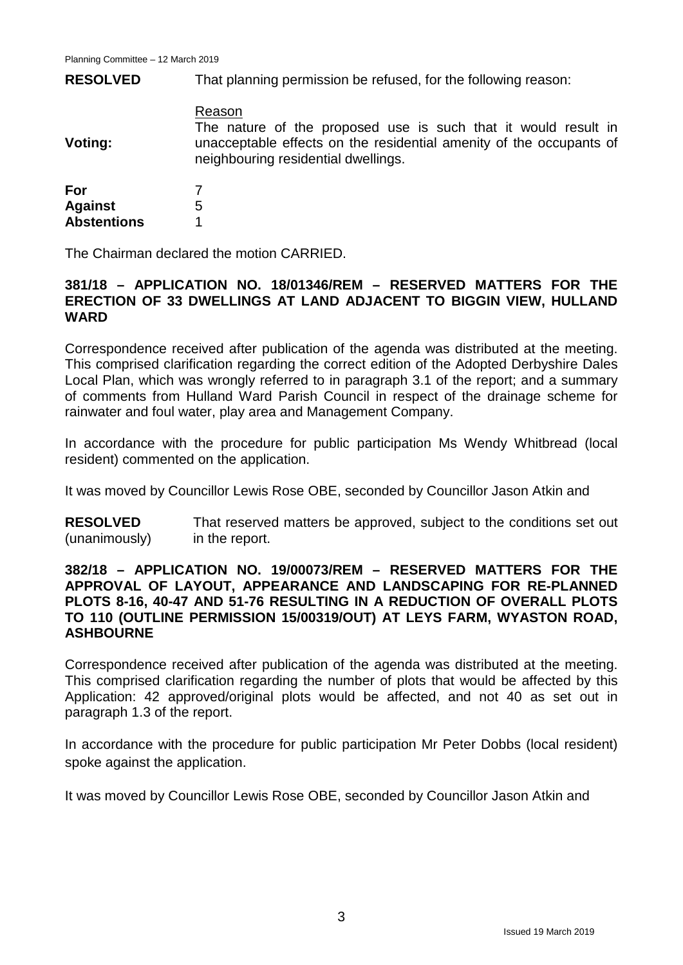**RESOLVED** That planning permission be refused, for the following reason:

#### Reason

**Voting:** The nature of the proposed use is such that it would result in unacceptable effects on the residential amenity of the occupants of neighbouring residential dwellings.

| For                |   |
|--------------------|---|
| <b>Against</b>     | 5 |
| <b>Abstentions</b> |   |

The Chairman declared the motion CARRIED.

### **381/18 – APPLICATION NO. 18/01346/REM – RESERVED MATTERS FOR THE ERECTION OF 33 DWELLINGS AT LAND ADJACENT TO BIGGIN VIEW, HULLAND WARD**

Correspondence received after publication of the agenda was distributed at the meeting. This comprised clarification regarding the correct edition of the Adopted Derbyshire Dales Local Plan, which was wrongly referred to in paragraph 3.1 of the report; and a summary of comments from Hulland Ward Parish Council in respect of the drainage scheme for rainwater and foul water, play area and Management Company.

In accordance with the procedure for public participation Ms Wendy Whitbread (local resident) commented on the application.

It was moved by Councillor Lewis Rose OBE, seconded by Councillor Jason Atkin and

**RESOLVED** (unanimously) That reserved matters be approved, subject to the conditions set out in the report.

### **382/18 – APPLICATION NO. 19/00073/REM – RESERVED MATTERS FOR THE APPROVAL OF LAYOUT, APPEARANCE AND LANDSCAPING FOR RE-PLANNED PLOTS 8-16, 40-47 AND 51-76 RESULTING IN A REDUCTION OF OVERALL PLOTS TO 110 (OUTLINE PERMISSION 15/00319/OUT) AT LEYS FARM, WYASTON ROAD, ASHBOURNE**

Correspondence received after publication of the agenda was distributed at the meeting. This comprised clarification regarding the number of plots that would be affected by this Application: 42 approved/original plots would be affected, and not 40 as set out in paragraph 1.3 of the report.

In accordance with the procedure for public participation Mr Peter Dobbs (local resident) spoke against the application.

It was moved by Councillor Lewis Rose OBE, seconded by Councillor Jason Atkin and